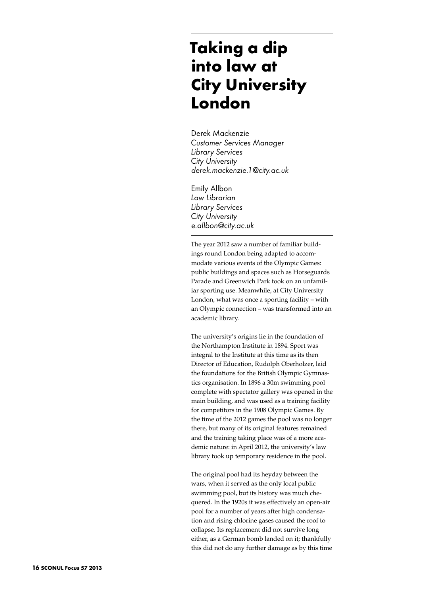# **Taking a dip into law at City University London**

Derek Mackenzie *Customer Services Manager Library Services City University derek.mackenzie.1@city.ac.uk*

Emily Allbon *Law Librarian Library Services City University e.allbon@city.ac.uk*

The year 2012 saw a number of familiar buildings round London being adapted to accommodate various events of the Olympic Games: public buildings and spaces such as Horseguards Parade and Greenwich Park took on an unfamiliar sporting use. Meanwhile, at City University London, what was once a sporting facility – with an Olympic connection – was transformed into an academic library.

The university's origins lie in the foundation of the Northampton Institute in 1894. Sport was integral to the Institute at this time as its then Director of Education, Rudolph Oberholzer, laid the foundations for the British Olympic Gymnastics organisation. In 1896 a 30m swimming pool complete with spectator gallery was opened in the main building, and was used as a training facility for competitors in the 1908 Olympic Games. By the time of the 2012 games the pool was no longer there, but many of its original features remained and the training taking place was of a more academic nature: in April 2012, the university's law library took up temporary residence in the pool.

The original pool had its heyday between the wars, when it served as the only local public swimming pool, but its history was much chequered. In the 1920s it was effectively an open-air pool for a number of years after high condensation and rising chlorine gases caused the roof to collapse. Its replacement did not survive long either, as a German bomb landed on it; thankfully this did not do any further damage as by this time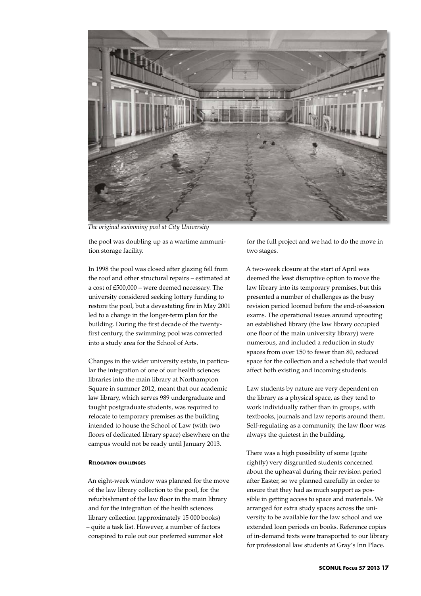

*The original swimming pool at City University*

the pool was doubling up as a wartime ammunition storage facility.

In 1998 the pool was closed after glazing fell from the roof and other structural repairs – estimated at a cost of £500,000 – were deemed necessary. The university considered seeking lottery funding to restore the pool, but a devastating fire in May 2001 led to a change in the longer-term plan for the building. During the first decade of the twentyfirst century, the swimming pool was converted into a study area for the School of Arts.

Changes in the wider university estate, in particular the integration of one of our health sciences libraries into the main library at Northampton Square in summer 2012, meant that our academic law library, which serves 989 undergraduate and taught postgraduate students, was required to relocate to temporary premises as the building intended to house the School of Law (with two floors of dedicated library space) elsewhere on the campus would not be ready until January 2013.

## **Relocation challenges**

An eight-week window was planned for the move of the law library collection to the pool, for the refurbishment of the law floor in the main library and for the integration of the health sciences library collection (approximately 15 000 books) – quite a task list. However, a number of factors conspired to rule out our preferred summer slot

for the full project and we had to do the move in two stages.

A two-week closure at the start of April was deemed the least disruptive option to move the law library into its temporary premises, but this presented a number of challenges as the busy revision period loomed before the end-of-session exams. The operational issues around uprooting an established library (the law library occupied one floor of the main university library) were numerous, and included a reduction in study spaces from over 150 to fewer than 80, reduced space for the collection and a schedule that would affect both existing and incoming students.

Law students by nature are very dependent on the library as a physical space, as they tend to work individually rather than in groups, with textbooks, journals and law reports around them. Self-regulating as a community, the law floor was always the quietest in the building.

There was a high possibility of some (quite rightly) very disgruntled students concerned about the upheaval during their revision period after Easter, so we planned carefully in order to ensure that they had as much support as possible in getting access to space and materials. We arranged for extra study spaces across the university to be available for the law school and we extended loan periods on books. Reference copies of in-demand texts were transported to our library for professional law students at Gray's Inn Place.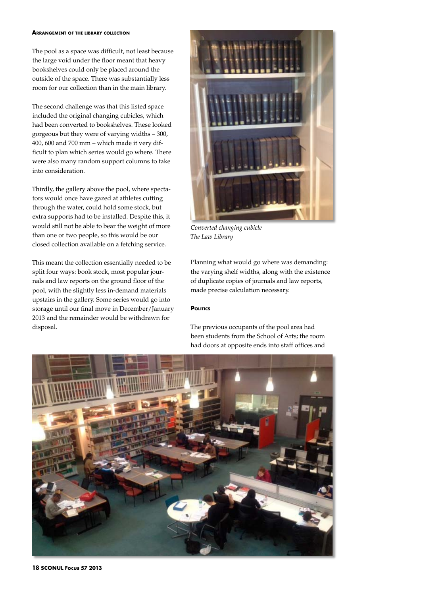#### **Arrangement of the library collection**

The pool as a space was difficult, not least because the large void under the floor meant that heavy bookshelves could only be placed around the outside of the space. There was substantially less room for our collection than in the main library.

The second challenge was that this listed space included the original changing cubicles, which had been converted to bookshelves. These looked gorgeous but they were of varying widths – 300, 400, 600 and 700 mm – which made it very difficult to plan which series would go where. There were also many random support columns to take into consideration.

Thirdly, the gallery above the pool, where spectators would once have gazed at athletes cutting through the water, could hold some stock, but extra supports had to be installed. Despite this, it would still not be able to bear the weight of more than one or two people, so this would be our closed collection available on a fetching service.

This meant the collection essentially needed to be split four ways: book stock, most popular journals and law reports on the ground floor of the pool, with the slightly less in-demand materials upstairs in the gallery. Some series would go into storage until our final move in December/January 2013 and the remainder would be withdrawn for disposal.



*Converted changing cubicle The Law Library*

Planning what would go where was demanding: the varying shelf widths, along with the existence of duplicate copies of journals and law reports, made precise calculation necessary.

### **POLITICS**

The previous occupants of the pool area had been students from the School of Arts; the room had doors at opposite ends into staff offices and



**18 SCONUL Focus 57 2013**